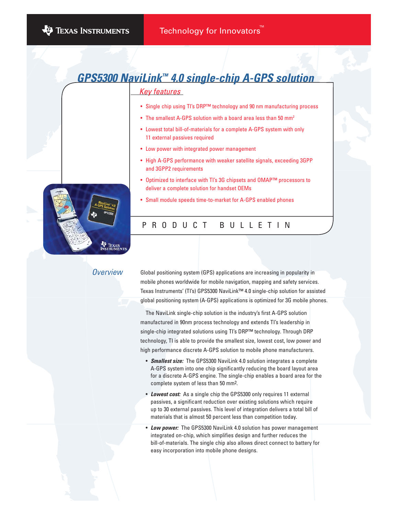# <u>Key features</u> **GPS5300 NaviLink™ 4.0 single-chip A-GPS solution**

#### • Single chip using TI's DRP™ technology and 90 nm manufacturing process

- The smallest A-GPS solution with a board area less than 50 mm<sup>2</sup>
- Lowest total bill-of-materials for a complete A-GPS system with only 11 external passives required
- Low power with integrated power management
- High A-GPS performance with weaker satellite signals, exceeding 3GPP and 3GPP2 requirements
- Optimized to interface with TI's 3G chipsets and OMAP™ processors to deliver a complete solution for handset OEMs
- Small module speeds time-to-market for A-GPS enabled phones

## PRODUCT BULLETIN

### **Overview**

Global positioning system (GPS) applications are increasing in popularity in mobile phones worldwide for mobile navigation, mapping and safety services. Texas Instruments' (TI's) GPS5300 NaviLink™ 4.0 single-chip solution for assisted global positioning system (A-GPS) applications is optimized for 3G mobile phones.

The NaviLink single-chip solution is the industry's first A-GPS solution manufactured in 90nm process technology and extends TI's leadership in single-chip integrated solutions using TI's DRP™ technology. Through DRP technology, TI is able to provide the smallest size, lowest cost, low power and high performance discrete A-GPS solution to mobile phone manufacturers.

- **Smallest size:** The GPS5300 NaviLink 4.0 solution integrates a complete A-GPS system into one chip significantly reducing the board layout area for a discrete A-GPS engine. The single-chip enables a board area for the complete system of less than 50 mm2.
- **Lowest cost:** As a single chip the GPS5300 only requires 11 external passives, a significant reduction over existing solutions which require up to 30 external passives. This level of integration delivers a total bill of materials that is almost 50 percent less than competition today.
- **Low power:** The GPS5300 NaviLink 4.0 solution has power management integrated on-chip, which simplifies design and further reduces the bill-of-materials. The single chip also allows direct connect to battery for easy incorporation into mobile phone designs.